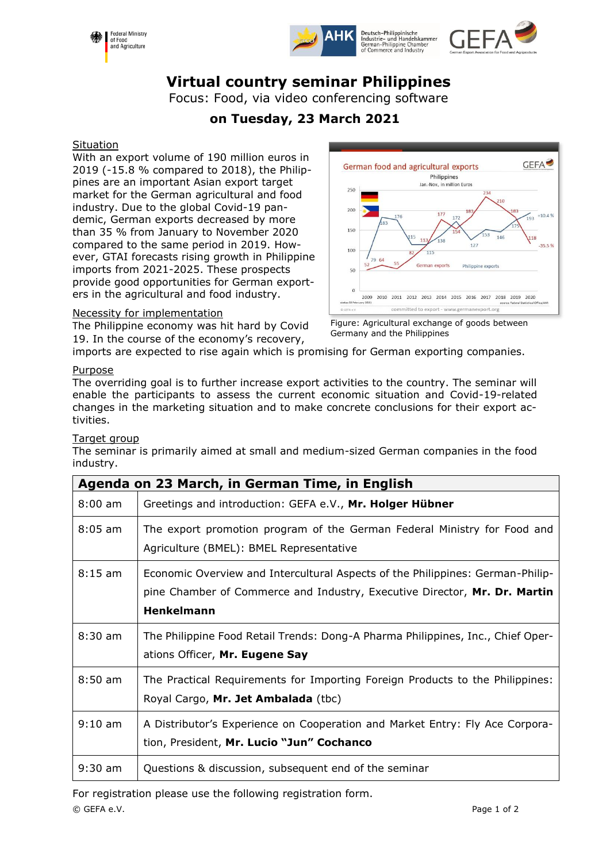





# **Virtual country seminar Philippines**

Focus: Food, via video conferencing software

## **on Tuesday, 23 March 2021**

#### **Situation**

With an export volume of 190 million euros in 2019 (-15.8 % compared to 2018), the Philippines are an important Asian export target market for the German agricultural and food industry. Due to the global Covid-19 pandemic, German exports decreased by more than 35 % from January to November 2020 compared to the same period in 2019. However, GTAI forecasts rising growth in Philippine imports from 2021-2025. These prospects provide good opportunities for German exporters in the agricultural and food industry.



The Philippine economy was hit hard by Covid 19. In the course of the economy's recovery,



Figure: Agricultural exchange of goods between Germany and the Philippines

imports are expected to rise again which is promising for German exporting companies.

#### Purpose

The overriding goal is to further increase export activities to the country. The seminar will enable the participants to assess the current economic situation and Covid-19-related changes in the marketing situation and to make concrete conclusions for their export activities.

#### Target group

The seminar is primarily aimed at small and medium-sized German companies in the food industry.

| Agenda on 23 March, in German Time, in English |                                                                                                                                                                                  |  |
|------------------------------------------------|----------------------------------------------------------------------------------------------------------------------------------------------------------------------------------|--|
| $8:00 \text{ am}$                              | Greetings and introduction: GEFA e.V., Mr. Holger Hübner                                                                                                                         |  |
| $8:05$ am                                      | The export promotion program of the German Federal Ministry for Food and<br>Agriculture (BMEL): BMEL Representative                                                              |  |
| $8:15 \text{ am}$                              | Economic Overview and Intercultural Aspects of the Philippines: German-Philip-<br>pine Chamber of Commerce and Industry, Executive Director, Mr. Dr. Martin<br><b>Henkelmann</b> |  |
| $8:30 \text{ am}$                              | The Philippine Food Retail Trends: Dong-A Pharma Philippines, Inc., Chief Oper-<br>ations Officer, Mr. Eugene Say                                                                |  |
| $8:50 \text{ am}$                              | The Practical Requirements for Importing Foreign Products to the Philippines:<br>Royal Cargo, Mr. Jet Ambalada (tbc)                                                             |  |
| $9:10$ am                                      | A Distributor's Experience on Cooperation and Market Entry: Fly Ace Corpora-<br>tion, President, Mr. Lucio "Jun" Cochanco                                                        |  |
| $9:30$ am                                      | Questions & discussion, subsequent end of the seminar                                                                                                                            |  |